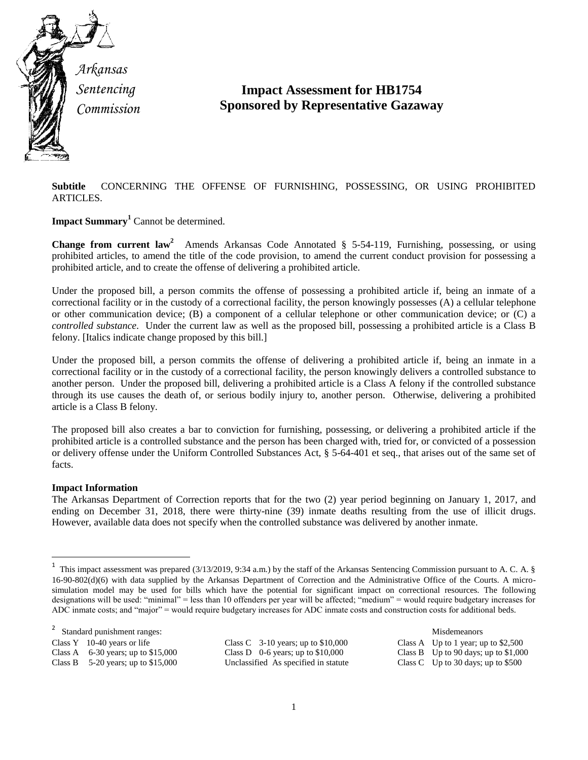

*Arkansas Sentencing Commission*

## **Impact Assessment for HB1754 Sponsored by Representative Gazaway**

**Subtitle** CONCERNING THE OFFENSE OF FURNISHING, POSSESSING, OR USING PROHIBITED ARTICLES.

**Impact Summary<sup>1</sup>** Cannot be determined.

Change from current law<sup>2</sup> Amends Arkansas Code Annotated § 5-54-119, Furnishing, possessing, or using prohibited articles, to amend the title of the code provision, to amend the current conduct provision for possessing a prohibited article, and to create the offense of delivering a prohibited article.

Under the proposed bill, a person commits the offense of possessing a prohibited article if, being an inmate of a correctional facility or in the custody of a correctional facility, the person knowingly possesses (A) a cellular telephone or other communication device; (B) a component of a cellular telephone or other communication device; or (C) a *controlled substance*. Under the current law as well as the proposed bill, possessing a prohibited article is a Class B felony. [Italics indicate change proposed by this bill.]

Under the proposed bill, a person commits the offense of delivering a prohibited article if, being an inmate in a correctional facility or in the custody of a correctional facility, the person knowingly delivers a controlled substance to another person. Under the proposed bill, delivering a prohibited article is a Class A felony if the controlled substance through its use causes the death of, or serious bodily injury to, another person. Otherwise, delivering a prohibited article is a Class B felony.

The proposed bill also creates a bar to conviction for furnishing, possessing, or delivering a prohibited article if the prohibited article is a controlled substance and the person has been charged with, tried for, or convicted of a possession or delivery offense under the Uniform Controlled Substances Act, § 5-64-401 et seq., that arises out of the same set of facts.

## **Impact Information**

 $\overline{\phantom{a}}$ 

The Arkansas Department of Correction reports that for the two (2) year period beginning on January 1, 2017, and ending on December 31, 2018, there were thirty-nine (39) inmate deaths resulting from the use of illicit drugs. However, available data does not specify when the controlled substance was delivered by another inmate.

2 Standard punishment ranges:  $\blacksquare$  Misdemeanors  $\blacksquare$  Misdemeanors  $\blacksquare$  Misdemeanors  $\blacksquare$ Class Y 10-40 years or life Class C 3-10 years; up to \$10,000 Class A Up to 1 year; up to \$2,500

Class B  $5-20$  years; up to \$15,000 Unclassified As specified in statute

Class A 6-30 years; up to \$15,000 Class D 0-6 years; up to \$10,000 Class B Up to 90 days; up to \$1,000 Class B 5-20 years; up to \$15,000 Unclassified As specified in statute Class C Up to 30 days; up to \$500

<sup>1</sup> This impact assessment was prepared (3/13/2019, 9:34 a.m.) by the staff of the Arkansas Sentencing Commission pursuant to A. C. A. § 16-90-802(d)(6) with data supplied by the Arkansas Department of Correction and the Administrative Office of the Courts. A microsimulation model may be used for bills which have the potential for significant impact on correctional resources. The following designations will be used: "minimal" = less than 10 offenders per year will be affected; "medium" = would require budgetary increases for ADC inmate costs; and "major" = would require budgetary increases for ADC inmate costs and construction costs for additional beds.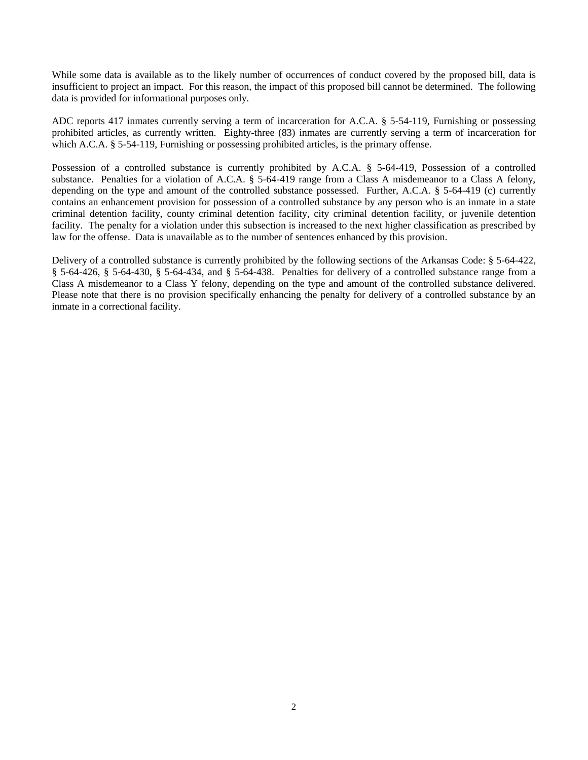While some data is available as to the likely number of occurrences of conduct covered by the proposed bill, data is insufficient to project an impact. For this reason, the impact of this proposed bill cannot be determined. The following data is provided for informational purposes only.

ADC reports 417 inmates currently serving a term of incarceration for A.C.A. § 5-54-119, Furnishing or possessing prohibited articles, as currently written. Eighty-three (83) inmates are currently serving a term of incarceration for which A.C.A. § 5-54-119, Furnishing or possessing prohibited articles, is the primary offense.

Possession of a controlled substance is currently prohibited by A.C.A. § 5-64-419, Possession of a controlled substance. Penalties for a violation of A.C.A. § 5-64-419 range from a Class A misdemeanor to a Class A felony, depending on the type and amount of the controlled substance possessed. Further, A.C.A. § 5-64-419 (c) currently contains an enhancement provision for possession of a controlled substance by any person who is an inmate in a state criminal detention facility, county criminal detention facility, city criminal detention facility, or juvenile detention facility. The penalty for a violation under this subsection is increased to the next higher classification as prescribed by law for the offense. Data is unavailable as to the number of sentences enhanced by this provision.

Delivery of a controlled substance is currently prohibited by the following sections of the Arkansas Code: § 5-64-422, § 5-64-426, § 5-64-430, § 5-64-434, and § 5-64-438. Penalties for delivery of a controlled substance range from a Class A misdemeanor to a Class Y felony, depending on the type and amount of the controlled substance delivered. Please note that there is no provision specifically enhancing the penalty for delivery of a controlled substance by an inmate in a correctional facility.